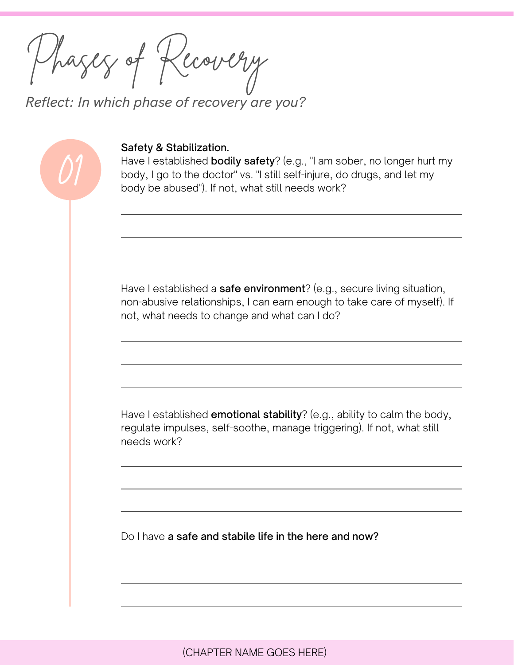Phases of Recovery

01

*Reflect: In which phase of recovery are you?*

## Safety & Stabilization.

Have I established **bodily safety**? (e.g., "I am sober, no longer hurt my body, I go to the doctor" vs. "I still self-injure, do drugs, and let my body be abused"). If not, what still needs work?

Have I established a **safe environment**? (e.g., secure living situation, non-abusive relationships, I can earn enough to take care of myself). If not, what needs to change and what can I do?

Have I established **emotional stability**? (e.g., ability to calm the body, regulate impulses, self-soothe, manage triggering). If not, what still needs work?

Do I have a safe and stabile life in the here and now?

(CHAPTER NAME GOES HERE)